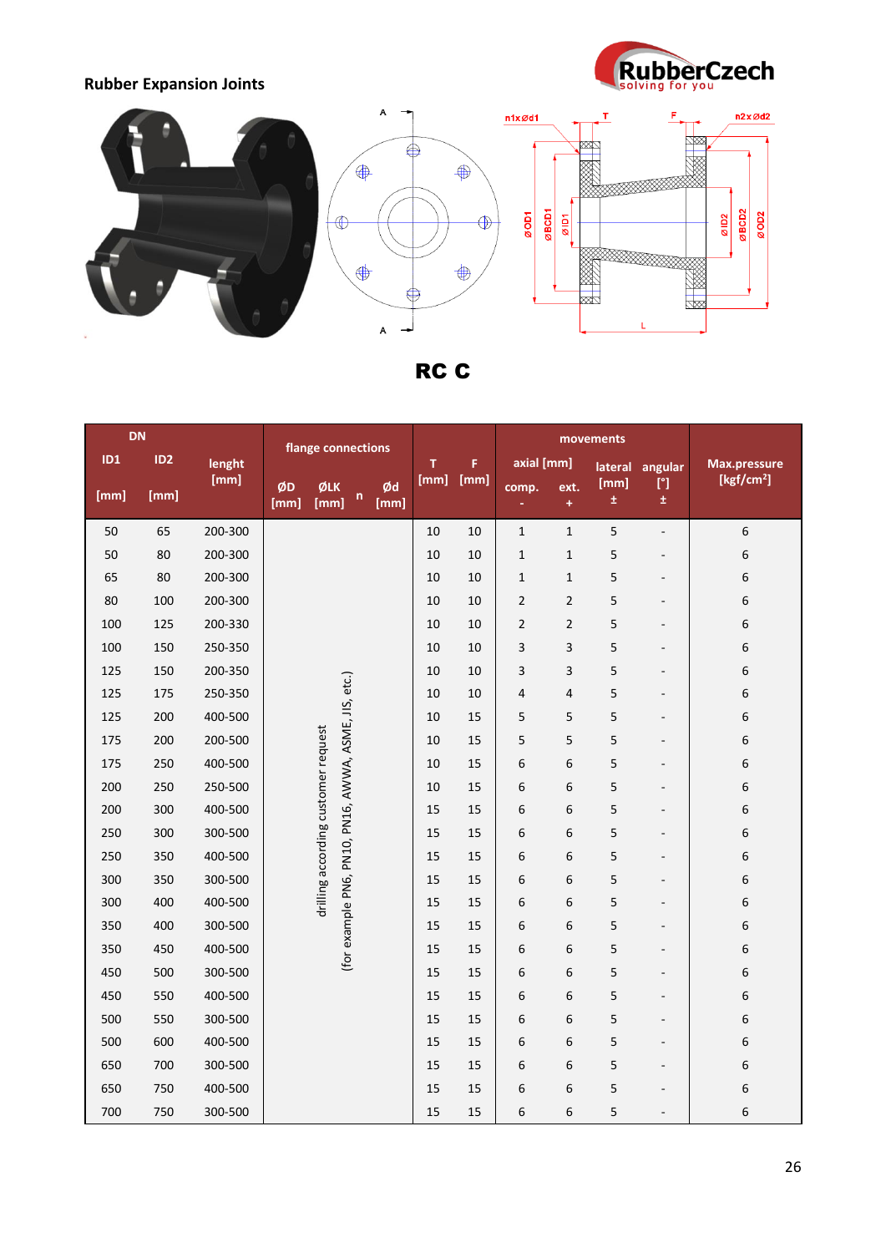**Rubber Expansion Joints**





RC C

| <b>DN</b> |                 | flange connections |            |             |                                                                                             |            |      | movements  |                |                    |               |                              |                        |
|-----------|-----------------|--------------------|------------|-------------|---------------------------------------------------------------------------------------------|------------|------|------------|----------------|--------------------|---------------|------------------------------|------------------------|
| ID1       | ID <sub>2</sub> | lenght             |            |             |                                                                                             | T          | F    | axial [mm] |                | lateral<br>angular |               | <b>Max.pressure</b>          |                        |
| [mm]      | [mm]            | [mm]               | ØD<br>[mm] | ØLK<br>[mm] | n                                                                                           | Ød<br>[mm] | [mm] | [mm]       | comp.          | ext.<br>$\ddot{}$  | [mm]<br>$\pm$ | [°]<br>$\pm$                 | [kgf/cm <sup>2</sup> ] |
| 50        | 65              | 200-300            |            |             |                                                                                             |            | 10   | 10         | $\mathbf 1$    | $\mathbf{1}$       | 5             | $\overline{\phantom{0}}$     | 6                      |
| 50        | 80              | 200-300            |            |             |                                                                                             |            | 10   | 10         | $1\,$          | $\mathbf{1}$       | 5             | $\overline{a}$               | 6                      |
| 65        | 80              | 200-300            |            |             |                                                                                             |            | 10   | 10         | $\mathbf{1}$   | $\mathbf{1}$       | 5             | $\qquad \qquad -$            | 6                      |
| 80        | 100             | 200-300            |            |             |                                                                                             |            | 10   | 10         | $\mathbf 2$    | $\overline{2}$     | 5             | $\overline{\phantom{a}}$     | 6                      |
| 100       | 125             | 200-330            |            |             |                                                                                             |            | 10   | 10         | $\overline{2}$ | $\overline{c}$     | 5             | $\overline{\phantom{0}}$     | 6                      |
| 100       | 150             | 250-350            |            |             |                                                                                             |            | 10   | 10         | 3              | 3                  | 5             | $\overline{\phantom{a}}$     | 6                      |
| 125       | 150             | 200-350            |            |             | (for example PN6, PN10, PN16, AWWA, ASME, JIS, etc.)<br>drilling according customer request |            | 10   | 10         | 3              | 3                  | 5             | $\qquad \qquad -$            | 6                      |
| 125       | 175             | 250-350            |            |             |                                                                                             |            | 10   | 10         | 4              | 4                  | 5             | $\overline{\phantom{a}}$     | 6                      |
| 125       | 200             | 400-500            |            |             |                                                                                             |            | 10   | 15         | 5              | 5                  | 5             | $\overline{\phantom{a}}$     | 6                      |
| 175       | 200             | 200-500            |            |             |                                                                                             |            | 10   | 15         | 5              | 5                  | 5             | $\overline{\phantom{a}}$     | 6                      |
| 175       | 250             | 400-500            |            |             |                                                                                             |            | 10   | 15         | 6              | 6                  | 5             | $\qquad \qquad \blacksquare$ | 6                      |
| 200       | 250             | 250-500            |            |             |                                                                                             |            | 10   | 15         | 6              | 6                  | 5             | $\overline{\phantom{a}}$     | 6                      |
| 200       | 300             | 400-500            |            |             |                                                                                             |            | 15   | 15         | 6              | 6                  | 5             | $\overline{\phantom{a}}$     | 6                      |
| 250       | 300             | 300-500            |            |             |                                                                                             |            | 15   | 15         | 6              | 6                  | 5             | $\qquad \qquad \blacksquare$ | 6                      |
| 250       | 350             | 400-500            |            |             |                                                                                             |            | 15   | 15         | 6              | 6                  | 5             | $\qquad \qquad \blacksquare$ | 6                      |
| 300       | 350             | 300-500            |            |             |                                                                                             |            | 15   | 15         | 6              | 6                  | 5             | $\overline{\phantom{0}}$     | 6                      |
| 300       | 400             | 400-500            |            |             |                                                                                             |            | 15   | 15         | 6              | 6                  | 5             | $\overline{\phantom{0}}$     | 6                      |
| 350       | 400             | 300-500            |            |             |                                                                                             |            | 15   | 15         | 6              | 6                  | 5             | $\overline{\phantom{a}}$     | 6                      |
| 350       | 450             | 400-500            |            |             |                                                                                             |            | 15   | 15         | 6              | 6                  | 5             | $\overline{\phantom{0}}$     | 6                      |
| 450       | 500             | 300-500            |            |             |                                                                                             |            | 15   | 15         | 6              | 6                  | 5             | $\overline{a}$               | 6                      |
| 450       | 550             | 400-500            |            |             |                                                                                             |            | 15   | 15         | 6              | 6                  | 5             | $\overline{\phantom{0}}$     | 6                      |
| 500       | 550             | 300-500            |            |             |                                                                                             |            | 15   | 15         | 6              | 6                  | 5             | $\overline{a}$               | 6                      |
| 500       | 600             | 400-500            |            |             |                                                                                             |            | 15   | 15         | 6              | 6                  | 5             | $\overline{\phantom{0}}$     | 6                      |
| 650       | 700             | 300-500            |            |             |                                                                                             |            | 15   | 15         | 6              | 6                  | 5             | -                            | 6                      |
| 650       | 750             | 400-500            |            |             |                                                                                             |            | 15   | 15         | 6              | 6                  | 5             | ÷                            | 6                      |
| 700       | 750             | 300-500            |            |             |                                                                                             |            | 15   | 15         | 6              | 6                  | 5             |                              | 6                      |